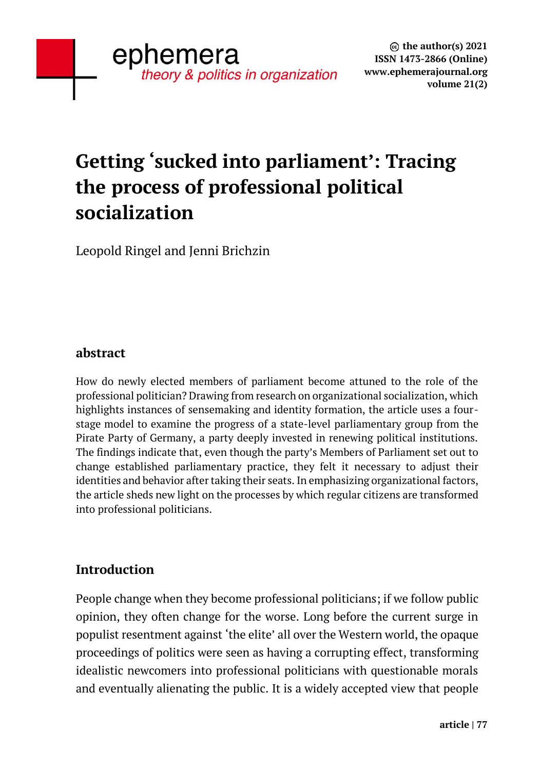# **Getting 'sucked into parliament': Tracing the process of professional political socialization**

Leopold Ringel and Jenni Brichzin

## **abstract**

How do newly elected members of parliament become attuned to the role of the professional politician? Drawing from research on organizational socialization, which highlights instances of sensemaking and identity formation, the article uses a fourstage model to examine the progress of a state-level parliamentary group from the Pirate Party of Germany, a party deeply invested in renewing political institutions. The findings indicate that, even though the party's Members of Parliament set out to change established parliamentary practice, they felt it necessary to adjust their identities and behavior after taking their seats. In emphasizing organizational factors, the article sheds new light on the processes by which regular citizens are transformed into professional politicians.

## **Introduction**

People change when they become professional politicians; if we follow public opinion, they often change for the worse. Long before the current surge in populist resentment against 'the elite' all over the Western world, the opaque proceedings of politics were seen as having a corrupting effect, transforming idealistic newcomers into professional politicians with questionable morals and eventually alienating the public. It is a widely accepted view that people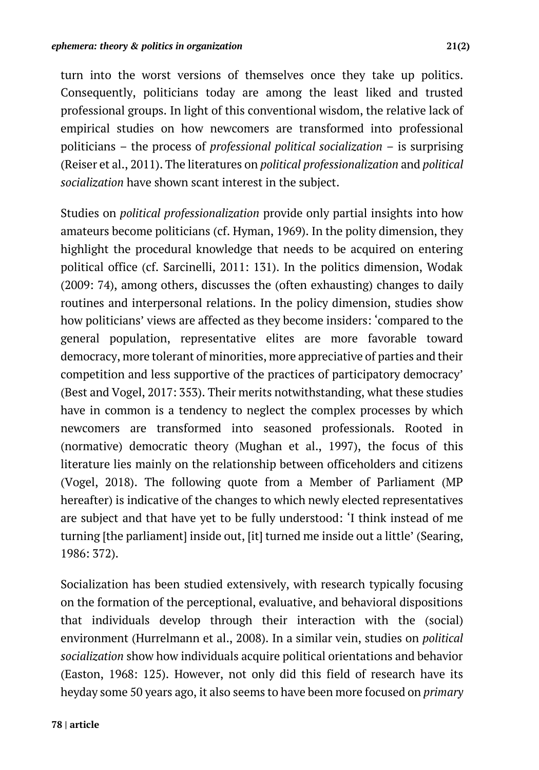turn into the worst versions of themselves once they take up politics. Consequently, politicians today are among the least liked and trusted professional groups. In light of this conventional wisdom, the relative lack of empirical studies on how newcomers are transformed into professional politicians – the process of *professional political socialization* – is surprising (Reiser et al., 2011). The literatures on *political professionalization* and *political socialization* have shown scant interest in the subject.

Studies on *political professionalization* provide only partial insights into how amateurs become politicians (cf. Hyman, 1969). In the polity dimension, they highlight the procedural knowledge that needs to be acquired on entering political office (cf. Sarcinelli, 2011: 131). In the politics dimension, Wodak (2009: 74), among others, discusses the (often exhausting) changes to daily routines and interpersonal relations. In the policy dimension, studies show how politicians' views are affected as they become insiders: 'compared to the general population, representative elites are more favorable toward democracy, more tolerant of minorities, more appreciative of parties and their competition and less supportive of the practices of participatory democracy' (Best and Vogel, 2017: 353). Their merits notwithstanding, what these studies have in common is a tendency to neglect the complex processes by which newcomers are transformed into seasoned professionals. Rooted in (normative) democratic theory (Mughan et al., 1997), the focus of this literature lies mainly on the relationship between officeholders and citizens (Vogel, 2018). The following quote from a Member of Parliament (MP hereafter) is indicative of the changes to which newly elected representatives are subject and that have yet to be fully understood: 'I think instead of me turning [the parliament] inside out, [it] turned me inside out a little' (Searing, 1986: 372).

Socialization has been studied extensively, with research typically focusing on the formation of the perceptional, evaluative, and behavioral dispositions that individuals develop through their interaction with the (social) environment (Hurrelmann et al., 2008). In a similar vein, studies on *political socialization* show how individuals acquire political orientations and behavior (Easton, 1968: 125). However, not only did this field of research have its heyday some 50 years ago, it also seems to have been more focused on *primary*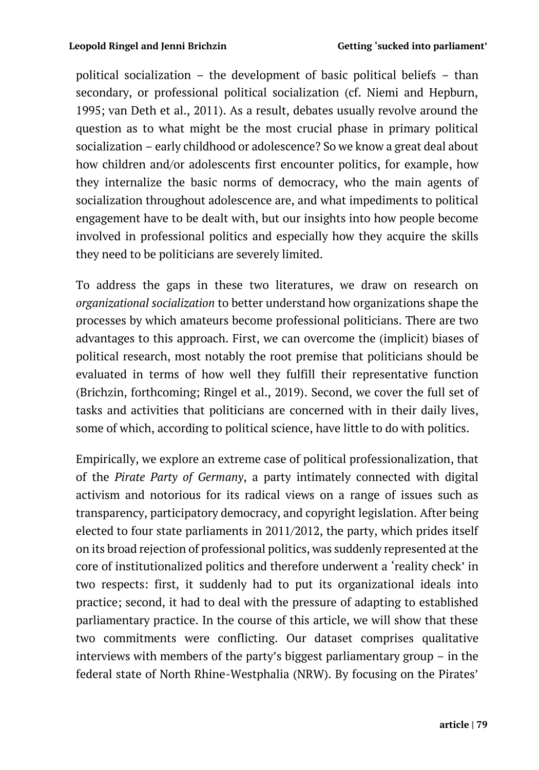political socialization – the development of basic political beliefs – than secondary, or professional political socialization (cf. Niemi and Hepburn, 1995; van Deth et al., 2011). As a result, debates usually revolve around the question as to what might be the most crucial phase in primary political socialization – early childhood or adolescence? So we know a great deal about how children and/or adolescents first encounter politics, for example, how they internalize the basic norms of democracy, who the main agents of socialization throughout adolescence are, and what impediments to political engagement have to be dealt with, but our insights into how people become involved in professional politics and especially how they acquire the skills they need to be politicians are severely limited.

To address the gaps in these two literatures, we draw on research on *organizational socialization* to better understand how organizations shape the processes by which amateurs become professional politicians. There are two advantages to this approach. First, we can overcome the (implicit) biases of political research, most notably the root premise that politicians should be evaluated in terms of how well they fulfill their representative function (Brichzin, forthcoming; Ringel et al., 2019). Second, we cover the full set of tasks and activities that politicians are concerned with in their daily lives, some of which, according to political science, have little to do with politics.

Empirically, we explore an extreme case of political professionalization, that of the *Pirate Party of Germany*, a party intimately connected with digital activism and notorious for its radical views on a range of issues such as transparency, participatory democracy, and copyright legislation. After being elected to four state parliaments in 2011/2012, the party, which prides itself on its broad rejection of professional politics, was suddenly represented at the core of institutionalized politics and therefore underwent a 'reality check' in two respects: first, it suddenly had to put its organizational ideals into practice; second, it had to deal with the pressure of adapting to established parliamentary practice. In the course of this article, we will show that these two commitments were conflicting. Our dataset comprises qualitative interviews with members of the party's biggest parliamentary group – in the federal state of North Rhine-Westphalia (NRW). By focusing on the Pirates'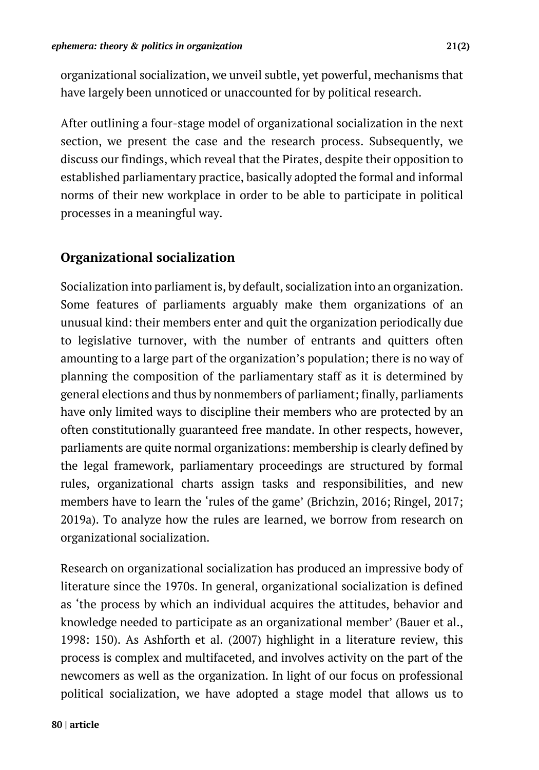organizational socialization, we unveil subtle, yet powerful, mechanisms that have largely been unnoticed or unaccounted for by political research.

After outlining a four-stage model of organizational socialization in the next section, we present the case and the research process. Subsequently, we discuss our findings, which reveal that the Pirates, despite their opposition to established parliamentary practice, basically adopted the formal and informal norms of their new workplace in order to be able to participate in political processes in a meaningful way.

## **Organizational socialization**

Socialization into parliament is, by default, socialization into an organization. Some features of parliaments arguably make them organizations of an unusual kind: their members enter and quit the organization periodically due to legislative turnover, with the number of entrants and quitters often amounting to a large part of the organization's population; there is no way of planning the composition of the parliamentary staff as it is determined by general elections and thus by nonmembers of parliament; finally, parliaments have only limited ways to discipline their members who are protected by an often constitutionally guaranteed free mandate. In other respects, however, parliaments are quite normal organizations: membership is clearly defined by the legal framework, parliamentary proceedings are structured by formal rules, organizational charts assign tasks and responsibilities, and new members have to learn the 'rules of the game' (Brichzin, 2016; Ringel, 2017; 2019a). To analyze how the rules are learned, we borrow from research on organizational socialization.

Research on organizational socialization has produced an impressive body of literature since the 1970s. In general, organizational socialization is defined as 'the process by which an individual acquires the attitudes, behavior and knowledge needed to participate as an organizational member' (Bauer et al., 1998: 150). As Ashforth et al. (2007) highlight in a literature review, this process is complex and multifaceted, and involves activity on the part of the newcomers as well as the organization. In light of our focus on professional political socialization, we have adopted a stage model that allows us to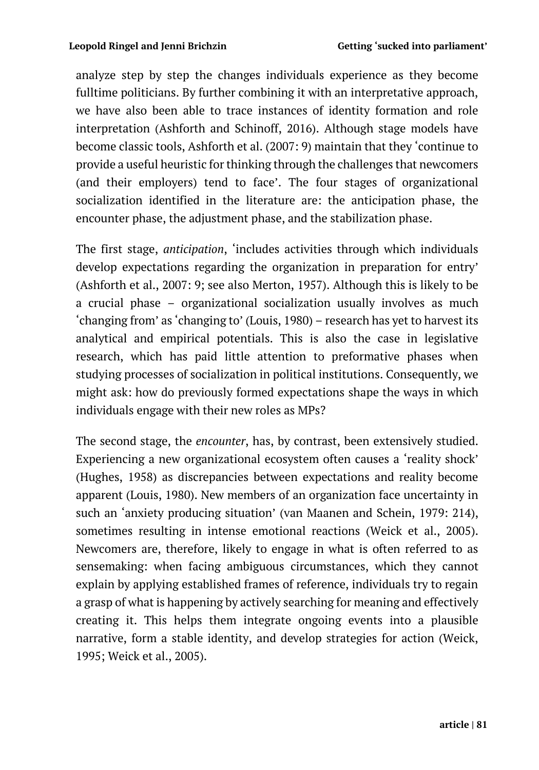analyze step by step the changes individuals experience as they become fulltime politicians. By further combining it with an interpretative approach, we have also been able to trace instances of identity formation and role interpretation (Ashforth and Schinoff, 2016). Although stage models have become classic tools, Ashforth et al. (2007: 9) maintain that they 'continue to provide a useful heuristic for thinking through the challenges that newcomers (and their employers) tend to face'. The four stages of organizational socialization identified in the literature are: the anticipation phase, the encounter phase, the adjustment phase, and the stabilization phase.

The first stage, *anticipation*, 'includes activities through which individuals develop expectations regarding the organization in preparation for entry' (Ashforth et al., 2007: 9; see also Merton, 1957). Although this is likely to be a crucial phase – organizational socialization usually involves as much 'changing from' as 'changing to' (Louis, 1980) – research has yet to harvest its analytical and empirical potentials. This is also the case in legislative research, which has paid little attention to preformative phases when studying processes of socialization in political institutions. Consequently, we might ask: how do previously formed expectations shape the ways in which individuals engage with their new roles as MPs?

The second stage, the *encounter*, has, by contrast, been extensively studied. Experiencing a new organizational ecosystem often causes a 'reality shock' (Hughes, 1958) as discrepancies between expectations and reality become apparent (Louis, 1980). New members of an organization face uncertainty in such an 'anxiety producing situation' (van Maanen and Schein, 1979: 214), sometimes resulting in intense emotional reactions (Weick et al., 2005). Newcomers are, therefore, likely to engage in what is often referred to as sensemaking: when facing ambiguous circumstances, which they cannot explain by applying established frames of reference, individuals try to regain a grasp of what is happening by actively searching for meaning and effectively creating it. This helps them integrate ongoing events into a plausible narrative, form a stable identity, and develop strategies for action (Weick, 1995; Weick et al., 2005).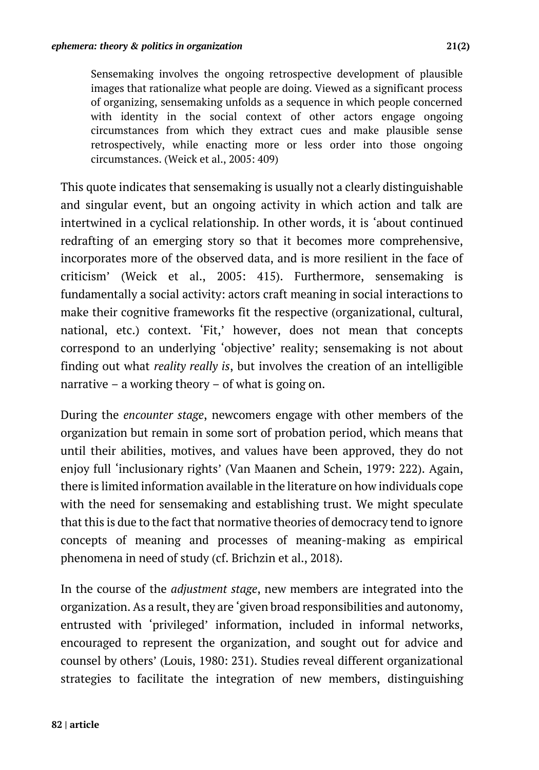Sensemaking involves the ongoing retrospective development of plausible images that rationalize what people are doing. Viewed as a significant process of organizing, sensemaking unfolds as a sequence in which people concerned with identity in the social context of other actors engage ongoing circumstances from which they extract cues and make plausible sense retrospectively, while enacting more or less order into those ongoing circumstances. (Weick et al., 2005: 409)

This quote indicates that sensemaking is usually not a clearly distinguishable and singular event, but an ongoing activity in which action and talk are intertwined in a cyclical relationship. In other words, it is 'about continued redrafting of an emerging story so that it becomes more comprehensive, incorporates more of the observed data, and is more resilient in the face of criticism' (Weick et al., 2005: 415). Furthermore, sensemaking is fundamentally a social activity: actors craft meaning in social interactions to make their cognitive frameworks fit the respective (organizational, cultural, national, etc.) context. 'Fit,' however, does not mean that concepts correspond to an underlying 'objective' reality; sensemaking is not about finding out what *reality really is*, but involves the creation of an intelligible narrative – a working theory – of what is going on.

During the *encounter stage*, newcomers engage with other members of the organization but remain in some sort of probation period, which means that until their abilities, motives, and values have been approved, they do not enjoy full 'inclusionary rights' (Van Maanen and Schein, 1979: 222). Again, there is limited information available in the literature on how individuals cope with the need for sensemaking and establishing trust. We might speculate that this is due to the fact that normative theories of democracy tend to ignore concepts of meaning and processes of meaning-making as empirical phenomena in need of study (cf. Brichzin et al., 2018).

In the course of the *adjustment stage*, new members are integrated into the organization. As a result, they are 'given broad responsibilities and autonomy, entrusted with 'privileged' information, included in informal networks, encouraged to represent the organization, and sought out for advice and counsel by others' (Louis, 1980: 231). Studies reveal different organizational strategies to facilitate the integration of new members, distinguishing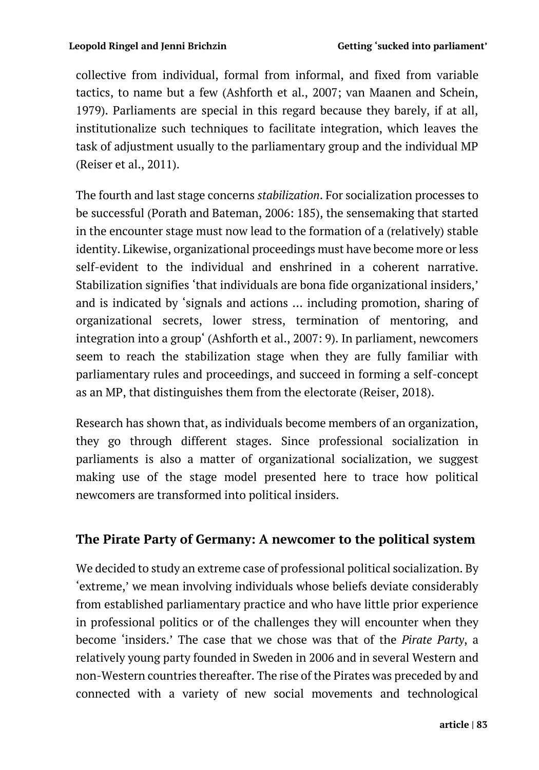collective from individual, formal from informal, and fixed from variable tactics, to name but a few (Ashforth et al., 2007; van Maanen and Schein, 1979). Parliaments are special in this regard because they barely, if at all, institutionalize such techniques to facilitate integration, which leaves the task of adjustment usually to the parliamentary group and the individual MP (Reiser et al., 2011).

The fourth and last stage concerns *stabilization*. For socialization processes to be successful (Porath and Bateman, 2006: 185), the sensemaking that started in the encounter stage must now lead to the formation of a (relatively) stable identity. Likewise, organizational proceedings must have become more or less self-evident to the individual and enshrined in a coherent narrative. Stabilization signifies 'that individuals are bona fide organizational insiders,' and is indicated by 'signals and actions … including promotion, sharing of organizational secrets, lower stress, termination of mentoring, and integration into a group' (Ashforth et al., 2007: 9). In parliament, newcomers seem to reach the stabilization stage when they are fully familiar with parliamentary rules and proceedings, and succeed in forming a self-concept as an MP, that distinguishes them from the electorate (Reiser, 2018).

Research has shown that, as individuals become members of an organization, they go through different stages. Since professional socialization in parliaments is also a matter of organizational socialization, we suggest making use of the stage model presented here to trace how political newcomers are transformed into political insiders.

## **The Pirate Party of Germany: A newcomer to the political system**

We decided to study an extreme case of professional political socialization. By 'extreme,' we mean involving individuals whose beliefs deviate considerably from established parliamentary practice and who have little prior experience in professional politics or of the challenges they will encounter when they become 'insiders.' The case that we chose was that of the *Pirate Party*, a relatively young party founded in Sweden in 2006 and in several Western and non-Western countries thereafter. The rise of the Pirates was preceded by and connected with a variety of new social movements and technological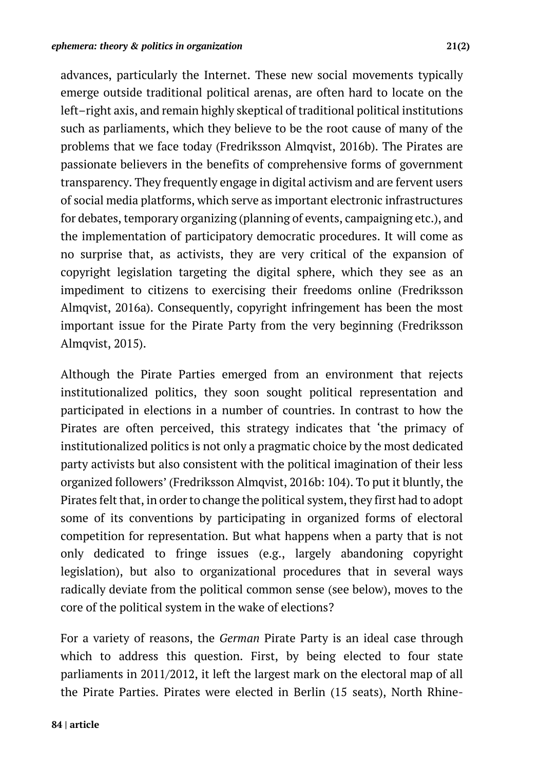advances, particularly the Internet. These new social movements typically emerge outside traditional political arenas, are often hard to locate on the left–right axis, and remain highly skeptical of traditional political institutions such as parliaments, which they believe to be the root cause of many of the problems that we face today (Fredriksson Almqvist, 2016b). The Pirates are passionate believers in the benefits of comprehensive forms of government transparency. They frequently engage in digital activism and are fervent users of social media platforms, which serve as important electronic infrastructures for debates, temporary organizing (planning of events, campaigning etc.), and the implementation of participatory democratic procedures. It will come as no surprise that, as activists, they are very critical of the expansion of copyright legislation targeting the digital sphere, which they see as an impediment to citizens to exercising their freedoms online (Fredriksson Almqvist, 2016a). Consequently, copyright infringement has been the most important issue for the Pirate Party from the very beginning (Fredriksson Almqvist, 2015).

Although the Pirate Parties emerged from an environment that rejects institutionalized politics, they soon sought political representation and participated in elections in a number of countries. In contrast to how the Pirates are often perceived, this strategy indicates that 'the primacy of institutionalized politics is not only a pragmatic choice by the most dedicated party activists but also consistent with the political imagination of their less organized followers' (Fredriksson Almqvist, 2016b: 104). To put it bluntly, the Pirates felt that, in order to change the political system, they first had to adopt some of its conventions by participating in organized forms of electoral competition for representation. But what happens when a party that is not only dedicated to fringe issues (e.g., largely abandoning copyright legislation), but also to organizational procedures that in several ways radically deviate from the political common sense (see below), moves to the core of the political system in the wake of elections?

For a variety of reasons, the *German* Pirate Party is an ideal case through which to address this question. First, by being elected to four state parliaments in 2011/2012, it left the largest mark on the electoral map of all the Pirate Parties. Pirates were elected in Berlin (15 seats), North Rhine-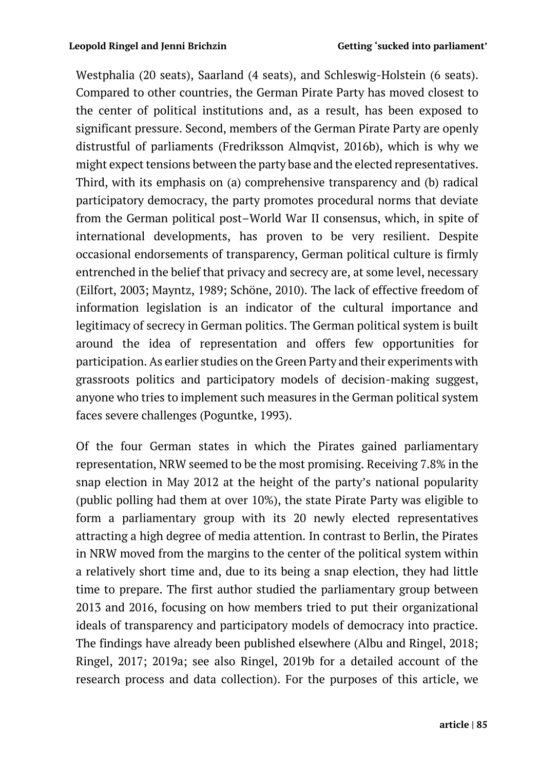Westphalia (20 seats), Saarland (4 seats), and Schleswig-Holstein (6 seats). Compared to other countries, the German Pirate Party has moved closest to the center of political institutions and, as a result, has been exposed to significant pressure. Second, members of the German Pirate Party are openly distrustful of parliaments (Fredriksson Almqvist, 2016b), which is why we might expect tensions between the party base and the elected representatives. Third, with its emphasis on (a) comprehensive transparency and (b) radical participatory democracy, the party promotes procedural norms that deviate from the German political post–World War II consensus, which, in spite of international developments, has proven to be very resilient. Despite occasional endorsements of transparency, German political culture is firmly entrenched in the belief that privacy and secrecy are, at some level, necessary (Eilfort, 2003; Mayntz, 1989; Schöne, 2010). The lack of effective freedom of information legislation is an indicator of the cultural importance and legitimacy of secrecy in German politics. The German political system is built around the idea of representation and offers few opportunities for participation. As earlier studies on the Green Party and their experiments with grassroots politics and participatory models of decision-making suggest, anyone who tries to implement such measures in the German political system faces severe challenges (Poguntke, 1993).

Of the four German states in which the Pirates gained parliamentary representation, NRW seemed to be the most promising. Receiving 7.8% in the snap election in May 2012 at the height of the party's national popularity (public polling had them at over 10%), the state Pirate Party was eligible to form a parliamentary group with its 20 newly elected representatives attracting a high degree of media attention. In contrast to Berlin, the Pirates in NRW moved from the margins to the center of the political system within a relatively short time and, due to its being a snap election, they had little time to prepare. The first author studied the parliamentary group between 2013 and 2016, focusing on how members tried to put their organizational ideals of transparency and participatory models of democracy into practice. The findings have already been published elsewhere (Albu and Ringel, 2018; Ringel, 2017; 2019a; see also Ringel, 2019b for a detailed account of the research process and data collection). For the purposes of this article, we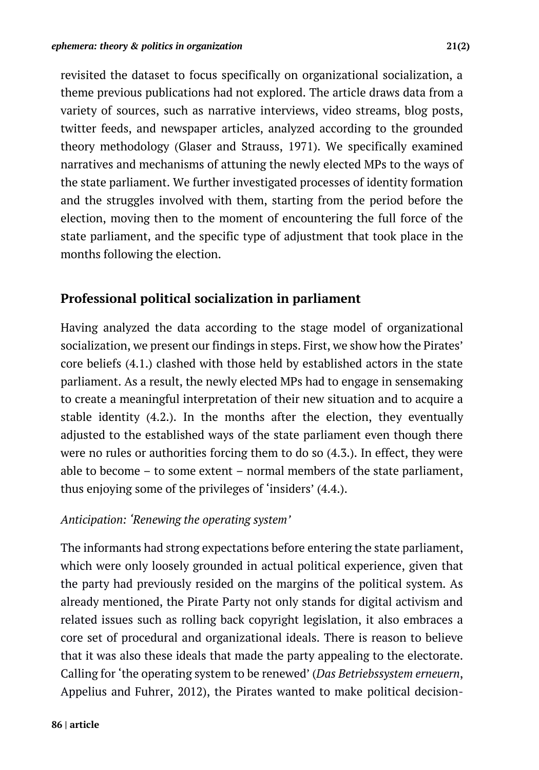revisited the dataset to focus specifically on organizational socialization, a theme previous publications had not explored. The article draws data from a variety of sources, such as narrative interviews, video streams, blog posts, twitter feeds, and newspaper articles, analyzed according to the grounded theory methodology (Glaser and Strauss, 1971). We specifically examined narratives and mechanisms of attuning the newly elected MPs to the ways of the state parliament. We further investigated processes of identity formation and the struggles involved with them, starting from the period before the election, moving then to the moment of encountering the full force of the state parliament, and the specific type of adjustment that took place in the months following the election.

## **Professional political socialization in parliament**

Having analyzed the data according to the stage model of organizational socialization, we present our findings in steps. First, we show how the Pirates' core beliefs (4.1.) clashed with those held by established actors in the state parliament. As a result, the newly elected MPs had to engage in sensemaking to create a meaningful interpretation of their new situation and to acquire a stable identity (4.2.). In the months after the election, they eventually adjusted to the established ways of the state parliament even though there were no rules or authorities forcing them to do so (4.3.). In effect, they were able to become – to some extent – normal members of the state parliament, thus enjoying some of the privileges of 'insiders' (4.4.).

#### *Anticipation: 'Renewing the operating system'*

The informants had strong expectations before entering the state parliament, which were only loosely grounded in actual political experience, given that the party had previously resided on the margins of the political system. As already mentioned, the Pirate Party not only stands for digital activism and related issues such as rolling back copyright legislation, it also embraces a core set of procedural and organizational ideals. There is reason to believe that it was also these ideals that made the party appealing to the electorate. Calling for 'the operating system to be renewed' (*Das Betriebssystem erneuern*, Appelius and Fuhrer, 2012), the Pirates wanted to make political decision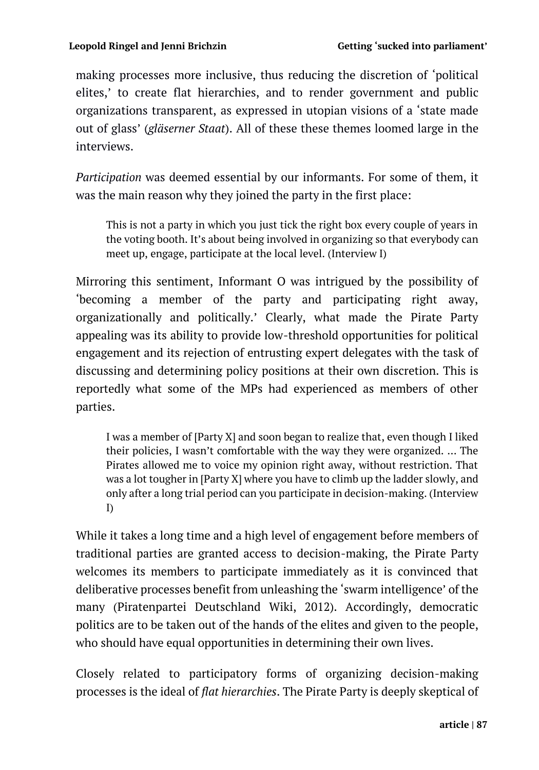making processes more inclusive, thus reducing the discretion of 'political elites,' to create flat hierarchies, and to render government and public organizations transparent, as expressed in utopian visions of a 'state made out of glass' (*gläserner Staat*). All of these these themes loomed large in the interviews.

*Participation* was deemed essential by our informants. For some of them, it was the main reason why they joined the party in the first place:

This is not a party in which you just tick the right box every couple of years in the voting booth. It's about being involved in organizing so that everybody can meet up, engage, participate at the local level. (Interview I)

Mirroring this sentiment, Informant O was intrigued by the possibility of 'becoming a member of the party and participating right away, organizationally and politically.' Clearly, what made the Pirate Party appealing was its ability to provide low-threshold opportunities for political engagement and its rejection of entrusting expert delegates with the task of discussing and determining policy positions at their own discretion. This is reportedly what some of the MPs had experienced as members of other parties.

I was a member of [Party X] and soon began to realize that, even though I liked their policies, I wasn't comfortable with the way they were organized. … The Pirates allowed me to voice my opinion right away, without restriction. That was a lot tougher in [Party X] where you have to climb up the ladder slowly, and only after a long trial period can you participate in decision-making. (Interview I)

While it takes a long time and a high level of engagement before members of traditional parties are granted access to decision-making, the Pirate Party welcomes its members to participate immediately as it is convinced that deliberative processes benefit from unleashing the 'swarm intelligence' of the many (Piratenpartei Deutschland Wiki, 2012). Accordingly, democratic politics are to be taken out of the hands of the elites and given to the people, who should have equal opportunities in determining their own lives.

Closely related to participatory forms of organizing decision-making processes is the ideal of *flat hierarchies*. The Pirate Party is deeply skeptical of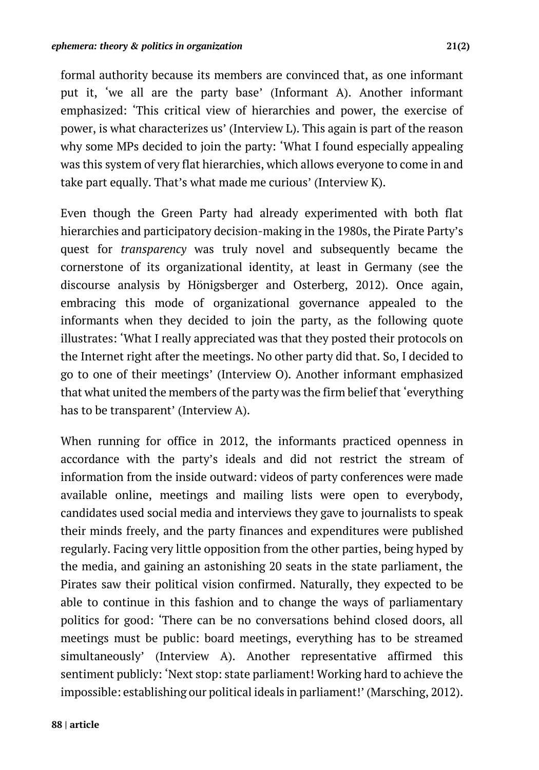formal authority because its members are convinced that, as one informant put it, 'we all are the party base' (Informant A). Another informant emphasized: 'This critical view of hierarchies and power, the exercise of power, is what characterizes us' (Interview L). This again is part of the reason why some MPs decided to join the party: 'What I found especially appealing was this system of very flat hierarchies, which allows everyone to come in and take part equally. That's what made me curious' (Interview K).

Even though the Green Party had already experimented with both flat hierarchies and participatory decision-making in the 1980s, the Pirate Party's quest for *transparency* was truly novel and subsequently became the cornerstone of its organizational identity, at least in Germany (see the discourse analysis by Hönigsberger and Osterberg, 2012). Once again, embracing this mode of organizational governance appealed to the informants when they decided to join the party, as the following quote illustrates: 'What I really appreciated was that they posted their protocols on the Internet right after the meetings. No other party did that. So, I decided to go to one of their meetings' (Interview O). Another informant emphasized that what united the members of the party was the firm belief that 'everything has to be transparent' (Interview A).

When running for office in 2012, the informants practiced openness in accordance with the party's ideals and did not restrict the stream of information from the inside outward: videos of party conferences were made available online, meetings and mailing lists were open to everybody, candidates used social media and interviews they gave to journalists to speak their minds freely, and the party finances and expenditures were published regularly. Facing very little opposition from the other parties, being hyped by the media, and gaining an astonishing 20 seats in the state parliament, the Pirates saw their political vision confirmed. Naturally, they expected to be able to continue in this fashion and to change the ways of parliamentary politics for good: 'There can be no conversations behind closed doors, all meetings must be public: board meetings, everything has to be streamed simultaneously' (Interview A). Another representative affirmed this sentiment publicly: 'Next stop: state parliament! Working hard to achieve the impossible: establishing our political ideals in parliament!' (Marsching, 2012).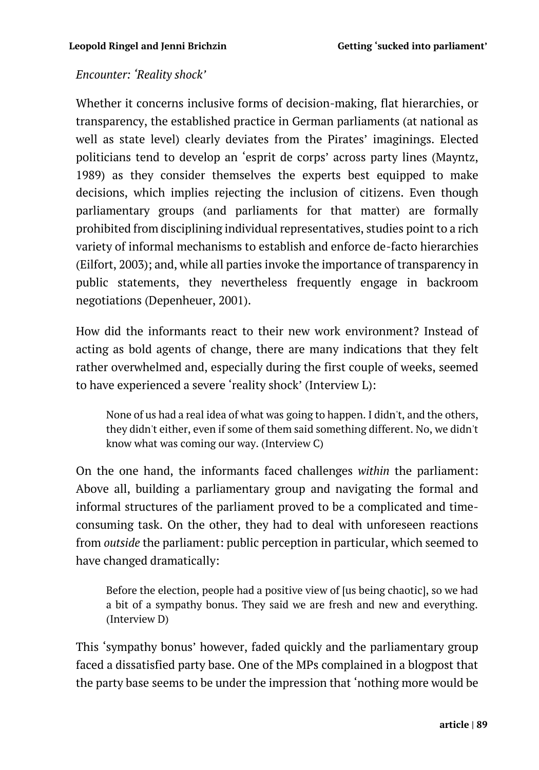#### *Encounter: 'Reality shock'*

Whether it concerns inclusive forms of decision-making, flat hierarchies, or transparency, the established practice in German parliaments (at national as well as state level) clearly deviates from the Pirates' imaginings. Elected politicians tend to develop an 'esprit de corps' across party lines (Mayntz, 1989) as they consider themselves the experts best equipped to make decisions, which implies rejecting the inclusion of citizens. Even though parliamentary groups (and parliaments for that matter) are formally prohibited from disciplining individual representatives, studies point to a rich variety of informal mechanisms to establish and enforce de-facto hierarchies (Eilfort, 2003); and, while all parties invoke the importance of transparency in public statements, they nevertheless frequently engage in backroom negotiations (Depenheuer, 2001).

How did the informants react to their new work environment? Instead of acting as bold agents of change, there are many indications that they felt rather overwhelmed and, especially during the first couple of weeks, seemed to have experienced a severe 'reality shock' (Interview L):

None of us had a real idea of what was going to happen. I didn't, and the others, they didn't either, even if some of them said something different. No, we didn't know what was coming our way. (Interview C)

On the one hand, the informants faced challenges *within* the parliament: Above all, building a parliamentary group and navigating the formal and informal structures of the parliament proved to be a complicated and timeconsuming task. On the other, they had to deal with unforeseen reactions from *outside* the parliament: public perception in particular, which seemed to have changed dramatically:

Before the election, people had a positive view of [us being chaotic], so we had a bit of a sympathy bonus. They said we are fresh and new and everything. (Interview D)

This 'sympathy bonus' however, faded quickly and the parliamentary group faced a dissatisfied party base. One of the MPs complained in a blogpost that the party base seems to be under the impression that 'nothing more would be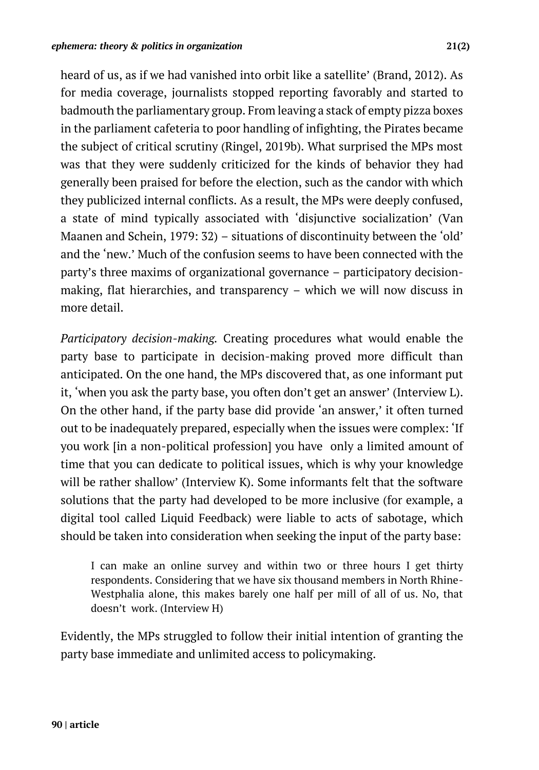heard of us, as if we had vanished into orbit like a satellite' (Brand, 2012). As for media coverage, journalists stopped reporting favorably and started to badmouth the parliamentary group. From leaving a stack of empty pizza boxes in the parliament cafeteria to poor handling of infighting, the Pirates became the subject of critical scrutiny (Ringel, 2019b). What surprised the MPs most was that they were suddenly criticized for the kinds of behavior they had generally been praised for before the election, such as the candor with which they publicized internal conflicts. As a result, the MPs were deeply confused, a state of mind typically associated with 'disjunctive socialization' (Van Maanen and Schein, 1979: 32) – situations of discontinuity between the 'old' and the 'new.' Much of the confusion seems to have been connected with the party's three maxims of organizational governance – participatory decisionmaking, flat hierarchies, and transparency – which we will now discuss in more detail.

*Participatory decision-making.* Creating procedures what would enable the party base to participate in decision-making proved more difficult than anticipated. On the one hand, the MPs discovered that, as one informant put it, 'when you ask the party base, you often don't get an answer' (Interview L). On the other hand, if the party base did provide 'an answer,' it often turned out to be inadequately prepared, especially when the issues were complex: 'If you work [in a non-political profession] you have only a limited amount of time that you can dedicate to political issues, which is why your knowledge will be rather shallow' (Interview K). Some informants felt that the software solutions that the party had developed to be more inclusive (for example, a digital tool called Liquid Feedback) were liable to acts of sabotage, which should be taken into consideration when seeking the input of the party base:

I can make an online survey and within two or three hours I get thirty respondents. Considering that we have six thousand members in North Rhine-Westphalia alone, this makes barely one half per mill of all of us. No, that doesn't work. (Interview H)

Evidently, the MPs struggled to follow their initial intention of granting the party base immediate and unlimited access to policymaking.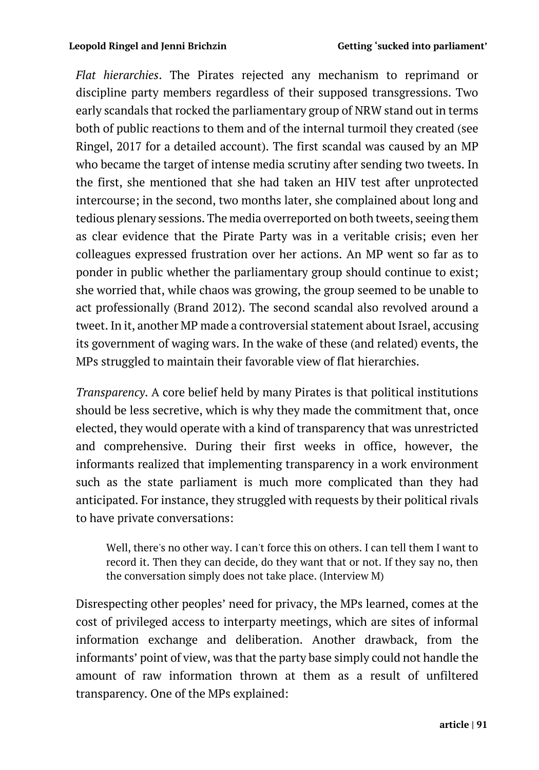*Flat hierarchies*. The Pirates rejected any mechanism to reprimand or discipline party members regardless of their supposed transgressions. Two early scandals that rocked the parliamentary group of NRW stand out in terms both of public reactions to them and of the internal turmoil they created (see Ringel, 2017 for a detailed account). The first scandal was caused by an MP who became the target of intense media scrutiny after sending two tweets. In the first, she mentioned that she had taken an HIV test after unprotected intercourse; in the second, two months later, she complained about long and tedious plenary sessions. The media overreported on both tweets, seeing them as clear evidence that the Pirate Party was in a veritable crisis; even her colleagues expressed frustration over her actions. An MP went so far as to ponder in public whether the parliamentary group should continue to exist; she worried that, while chaos was growing, the group seemed to be unable to act professionally (Brand 2012). The second scandal also revolved around a tweet. In it, another MP made a controversial statement about Israel, accusing its government of waging wars. In the wake of these (and related) events, the MPs struggled to maintain their favorable view of flat hierarchies.

*Transparency*. A core belief held by many Pirates is that political institutions should be less secretive, which is why they made the commitment that, once elected, they would operate with a kind of transparency that was unrestricted and comprehensive. During their first weeks in office, however, the informants realized that implementing transparency in a work environment such as the state parliament is much more complicated than they had anticipated. For instance, they struggled with requests by their political rivals to have private conversations:

Well, there's no other way. I can't force this on others. I can tell them I want to record it. Then they can decide, do they want that or not. If they say no, then the conversation simply does not take place. (Interview M)

Disrespecting other peoples' need for privacy, the MPs learned, comes at the cost of privileged access to interparty meetings, which are sites of informal information exchange and deliberation. Another drawback, from the informants' point of view, was that the party base simply could not handle the amount of raw information thrown at them as a result of unfiltered transparency. One of the MPs explained: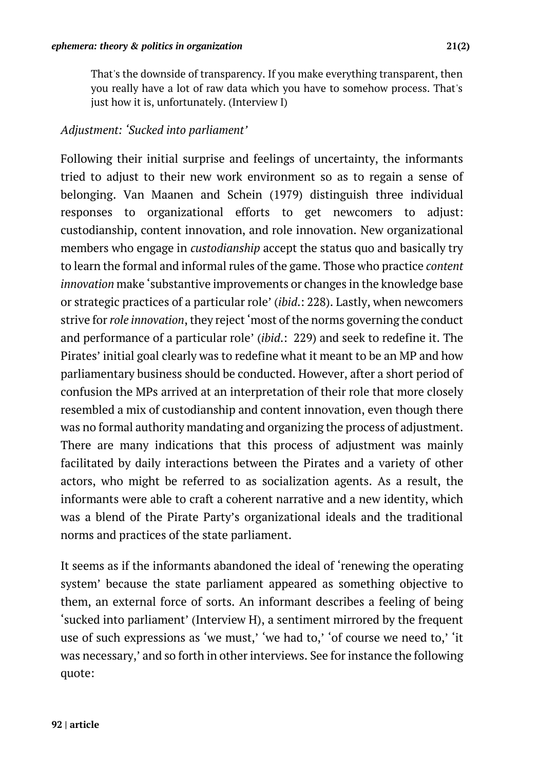That's the downside of transparency. If you make everything transparent, then you really have a lot of raw data which you have to somehow process. That's just how it is, unfortunately. (Interview I)

#### *Adjustment: 'Sucked into parliament'*

Following their initial surprise and feelings of uncertainty, the informants tried to adjust to their new work environment so as to regain a sense of belonging. Van Maanen and Schein (1979) distinguish three individual responses to organizational efforts to get newcomers to adjust: custodianship, content innovation, and role innovation. New organizational members who engage in *custodianship* accept the status quo and basically try to learn the formal and informal rules of the game. Those who practice *content innovation* make 'substantive improvements or changes in the knowledge base or strategic practices of a particular role' (*ibid*.: 228). Lastly, when newcomers strive for*role innovation*, they reject 'most of the norms governing the conduct and performance of a particular role' (*ibid*.: 229) and seek to redefine it. The Pirates' initial goal clearly was to redefine what it meant to be an MP and how parliamentary business should be conducted. However, after a short period of confusion the MPs arrived at an interpretation of their role that more closely resembled a mix of custodianship and content innovation, even though there was no formal authority mandating and organizing the process of adjustment. There are many indications that this process of adjustment was mainly facilitated by daily interactions between the Pirates and a variety of other actors, who might be referred to as socialization agents. As a result, the informants were able to craft a coherent narrative and a new identity, which was a blend of the Pirate Party's organizational ideals and the traditional norms and practices of the state parliament.

It seems as if the informants abandoned the ideal of 'renewing the operating system' because the state parliament appeared as something objective to them, an external force of sorts. An informant describes a feeling of being 'sucked into parliament' (Interview H), a sentiment mirrored by the frequent use of such expressions as 'we must,' 'we had to,' 'of course we need to,' 'it was necessary,' and so forth in other interviews. See for instance the following quote: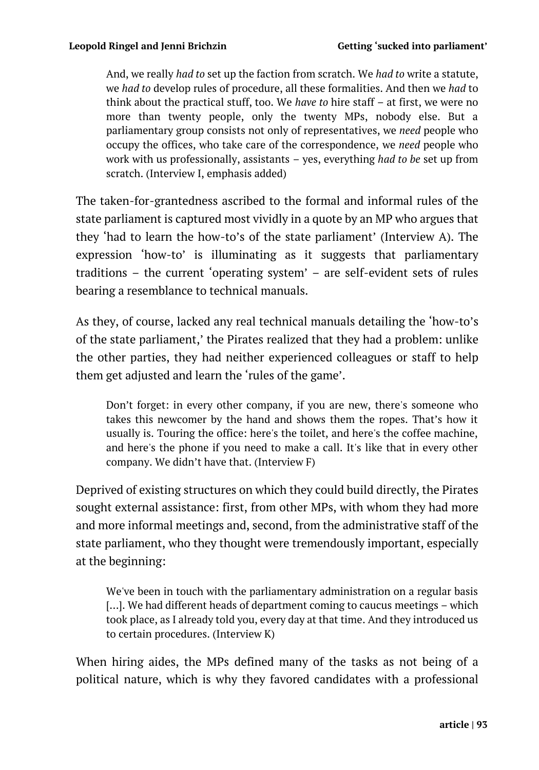And, we really *had to* set up the faction from scratch. We *had to* write a statute, we *had to* develop rules of procedure, all these formalities. And then we *had* to think about the practical stuff, too. We *have to* hire staff – at first, we were no more than twenty people, only the twenty MPs, nobody else. But a parliamentary group consists not only of representatives, we *need* people who occupy the offices, who take care of the correspondence, we *need* people who work with us professionally, assistants – yes, everything *had to be* set up from scratch. (Interview I, emphasis added)

The taken-for-grantedness ascribed to the formal and informal rules of the state parliament is captured most vividly in a quote by an MP who argues that they 'had to learn the how-to's of the state parliament' (Interview A). The expression 'how-to' is illuminating as it suggests that parliamentary traditions – the current 'operating system' – are self-evident sets of rules bearing a resemblance to technical manuals.

As they, of course, lacked any real technical manuals detailing the 'how-to's of the state parliament,' the Pirates realized that they had a problem: unlike the other parties, they had neither experienced colleagues or staff to help them get adjusted and learn the 'rules of the game'.

Don't forget: in every other company, if you are new, there's someone who takes this newcomer by the hand and shows them the ropes. That's how it usually is. Touring the office: here's the toilet, and here's the coffee machine, and here's the phone if you need to make a call. It's like that in every other company. We didn't have that. (Interview F)

Deprived of existing structures on which they could build directly, the Pirates sought external assistance: first, from other MPs, with whom they had more and more informal meetings and, second, from the administrative staff of the state parliament, who they thought were tremendously important, especially at the beginning:

We've been in touch with the parliamentary administration on a regular basis [...]. We had different heads of department coming to caucus meetings – which took place, as I already told you, every day at that time. And they introduced us to certain procedures. (Interview K)

When hiring aides, the MPs defined many of the tasks as not being of a political nature, which is why they favored candidates with a professional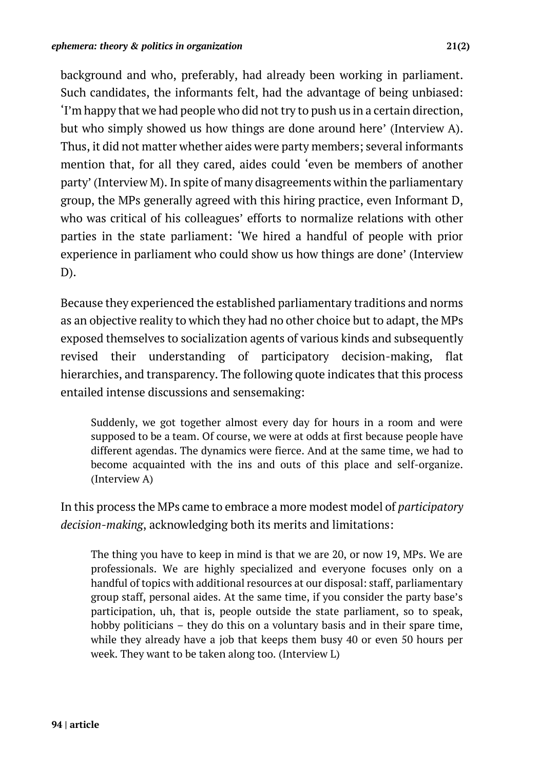background and who, preferably, had already been working in parliament. Such candidates, the informants felt, had the advantage of being unbiased: 'I'm happy that we had people who did not try to push us in a certain direction, but who simply showed us how things are done around here' (Interview A). Thus, it did not matter whether aides were party members; several informants mention that, for all they cared, aides could 'even be members of another party' (Interview M). In spite of many disagreements within the parliamentary group, the MPs generally agreed with this hiring practice, even Informant D, who was critical of his colleagues' efforts to normalize relations with other parties in the state parliament: 'We hired a handful of people with prior experience in parliament who could show us how things are done' (Interview D).

Because they experienced the established parliamentary traditions and norms as an objective reality to which they had no other choice but to adapt, the MPs exposed themselves to socialization agents of various kinds and subsequently revised their understanding of participatory decision-making, flat hierarchies, and transparency. The following quote indicates that this process entailed intense discussions and sensemaking:

Suddenly, we got together almost every day for hours in a room and were supposed to be a team. Of course, we were at odds at first because people have different agendas. The dynamics were fierce. And at the same time, we had to become acquainted with the ins and outs of this place and self-organize. (Interview A)

In this process the MPs came to embrace a more modest model of *participatory decision-making*, acknowledging both its merits and limitations:

The thing you have to keep in mind is that we are 20, or now 19, MPs. We are professionals. We are highly specialized and everyone focuses only on a handful of topics with additional resources at our disposal: staff, parliamentary group staff, personal aides. At the same time, if you consider the party base's participation, uh, that is, people outside the state parliament, so to speak, hobby politicians – they do this on a voluntary basis and in their spare time, while they already have a job that keeps them busy 40 or even 50 hours per week. They want to be taken along too. (Interview L)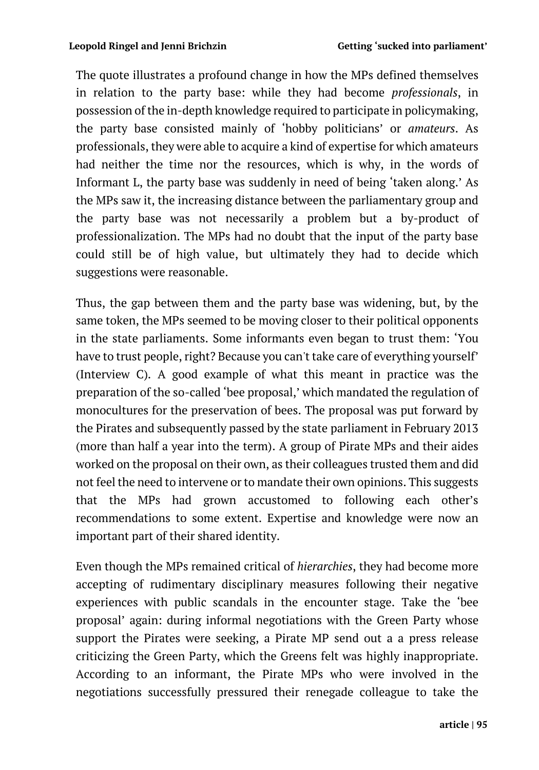The quote illustrates a profound change in how the MPs defined themselves in relation to the party base: while they had become *professionals*, in possession of the in-depth knowledge required to participate in policymaking, the party base consisted mainly of 'hobby politicians' or *amateurs*. As professionals, they were able to acquire a kind of expertise for which amateurs had neither the time nor the resources, which is why, in the words of Informant L, the party base was suddenly in need of being 'taken along.' As the MPs saw it, the increasing distance between the parliamentary group and the party base was not necessarily a problem but a by-product of professionalization. The MPs had no doubt that the input of the party base could still be of high value, but ultimately they had to decide which suggestions were reasonable.

Thus, the gap between them and the party base was widening, but, by the same token, the MPs seemed to be moving closer to their political opponents in the state parliaments. Some informants even began to trust them: 'You have to trust people, right? Because you can't take care of everything yourself' (Interview C). A good example of what this meant in practice was the preparation of the so-called 'bee proposal,' which mandated the regulation of monocultures for the preservation of bees. The proposal was put forward by the Pirates and subsequently passed by the state parliament in February 2013 (more than half a year into the term). A group of Pirate MPs and their aides worked on the proposal on their own, as their colleagues trusted them and did not feel the need to intervene or to mandate their own opinions. This suggests that the MPs had grown accustomed to following each other's recommendations to some extent. Expertise and knowledge were now an important part of their shared identity.

Even though the MPs remained critical of *hierarchies*, they had become more accepting of rudimentary disciplinary measures following their negative experiences with public scandals in the encounter stage. Take the 'bee proposal' again: during informal negotiations with the Green Party whose support the Pirates were seeking, a Pirate MP send out a a press release criticizing the Green Party, which the Greens felt was highly inappropriate. According to an informant, the Pirate MPs who were involved in the negotiations successfully pressured their renegade colleague to take the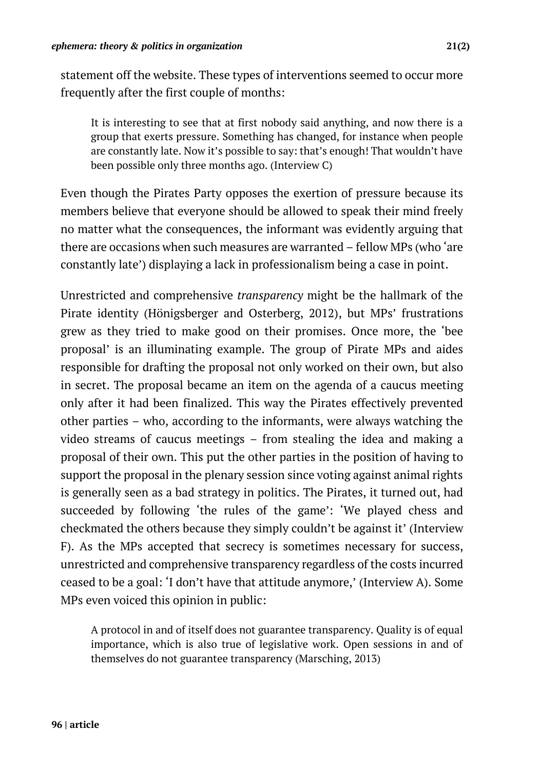statement off the website. These types of interventions seemed to occur more frequently after the first couple of months:

It is interesting to see that at first nobody said anything, and now there is a group that exerts pressure. Something has changed, for instance when people are constantly late. Now it's possible to say: that's enough! That wouldn't have been possible only three months ago. (Interview C)

Even though the Pirates Party opposes the exertion of pressure because its members believe that everyone should be allowed to speak their mind freely no matter what the consequences, the informant was evidently arguing that there are occasions when such measures are warranted – fellow MPs (who 'are constantly late') displaying a lack in professionalism being a case in point.

Unrestricted and comprehensive *transparency* might be the hallmark of the Pirate identity (Hönigsberger and Osterberg, 2012), but MPs' frustrations grew as they tried to make good on their promises. Once more, the 'bee proposal' is an illuminating example. The group of Pirate MPs and aides responsible for drafting the proposal not only worked on their own, but also in secret. The proposal became an item on the agenda of a caucus meeting only after it had been finalized. This way the Pirates effectively prevented other parties – who, according to the informants, were always watching the video streams of caucus meetings – from stealing the idea and making a proposal of their own. This put the other parties in the position of having to support the proposal in the plenary session since voting against animal rights is generally seen as a bad strategy in politics. The Pirates, it turned out, had succeeded by following 'the rules of the game': 'We played chess and checkmated the others because they simply couldn't be against it' (Interview F). As the MPs accepted that secrecy is sometimes necessary for success, unrestricted and comprehensive transparency regardless of the costs incurred ceased to be a goal: 'I don't have that attitude anymore,' (Interview A). Some MPs even voiced this opinion in public:

A protocol in and of itself does not guarantee transparency. Quality is of equal importance, which is also true of legislative work. Open sessions in and of themselves do not guarantee transparency (Marsching, 2013)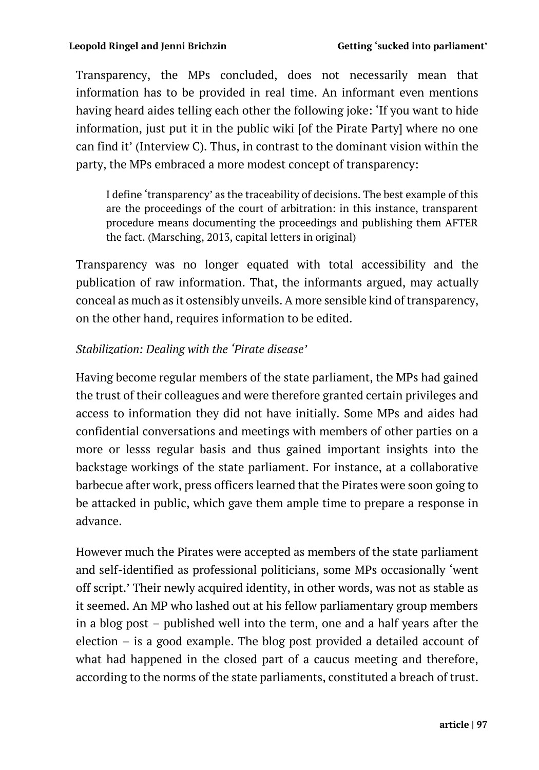Transparency, the MPs concluded, does not necessarily mean that information has to be provided in real time. An informant even mentions having heard aides telling each other the following joke: 'If you want to hide information, just put it in the public wiki [of the Pirate Party] where no one can find it' (Interview C). Thus, in contrast to the dominant vision within the party, the MPs embraced a more modest concept of transparency:

I define 'transparency' as the traceability of decisions. The best example of this are the proceedings of the court of arbitration: in this instance, transparent procedure means documenting the proceedings and publishing them AFTER the fact. (Marsching, 2013, capital letters in original)

Transparency was no longer equated with total accessibility and the publication of raw information. That, the informants argued, may actually conceal as much as it ostensibly unveils. A more sensible kind of transparency, on the other hand, requires information to be edited.

### *Stabilization: Dealing with the 'Pirate disease'*

Having become regular members of the state parliament, the MPs had gained the trust of their colleagues and were therefore granted certain privileges and access to information they did not have initially. Some MPs and aides had confidential conversations and meetings with members of other parties on a more or lesss regular basis and thus gained important insights into the backstage workings of the state parliament. For instance, at a collaborative barbecue after work, press officers learned that the Pirates were soon going to be attacked in public, which gave them ample time to prepare a response in advance.

However much the Pirates were accepted as members of the state parliament and self-identified as professional politicians, some MPs occasionally 'went off script.' Their newly acquired identity, in other words, was not as stable as it seemed. An MP who lashed out at his fellow parliamentary group members in a blog post – published well into the term, one and a half years after the election – is a good example. The blog post provided a detailed account of what had happened in the closed part of a caucus meeting and therefore, according to the norms of the state parliaments, constituted a breach of trust.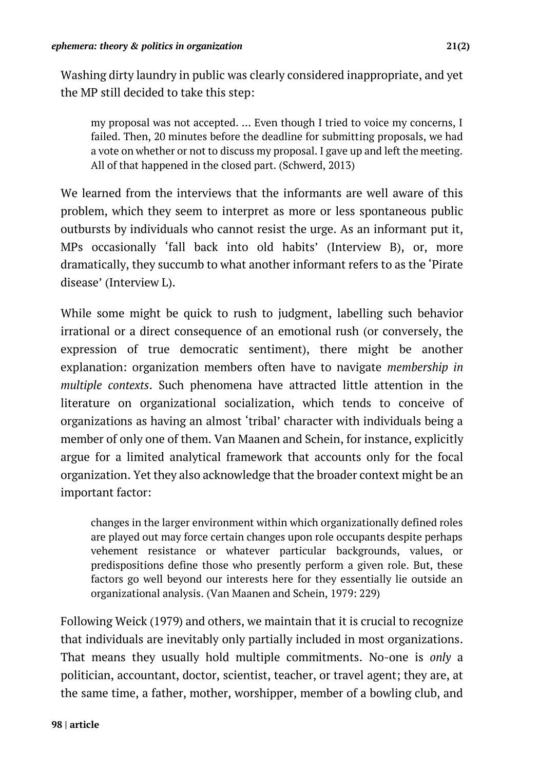Washing dirty laundry in public was clearly considered inappropriate, and yet the MP still decided to take this step:

my proposal was not accepted. … Even though I tried to voice my concerns, I failed. Then, 20 minutes before the deadline for submitting proposals, we had a vote on whether or not to discuss my proposal. I gave up and left the meeting. All of that happened in the closed part. (Schwerd, 2013)

We learned from the interviews that the informants are well aware of this problem, which they seem to interpret as more or less spontaneous public outbursts by individuals who cannot resist the urge. As an informant put it, MPs occasionally 'fall back into old habits' (Interview B), or, more dramatically, they succumb to what another informant refers to as the 'Pirate disease' (Interview L).

While some might be quick to rush to judgment, labelling such behavior irrational or a direct consequence of an emotional rush (or conversely, the expression of true democratic sentiment), there might be another explanation: organization members often have to navigate *membership in multiple contexts*. Such phenomena have attracted little attention in the literature on organizational socialization, which tends to conceive of organizations as having an almost 'tribal' character with individuals being a member of only one of them. Van Maanen and Schein, for instance, explicitly argue for a limited analytical framework that accounts only for the focal organization. Yet they also acknowledge that the broader context might be an important factor:

changes in the larger environment within which organizationally defined roles are played out may force certain changes upon role occupants despite perhaps vehement resistance or whatever particular backgrounds, values, or predispositions define those who presently perform a given role. But, these factors go well beyond our interests here for they essentially lie outside an organizational analysis. (Van Maanen and Schein, 1979: 229)

Following Weick (1979) and others, we maintain that it is crucial to recognize that individuals are inevitably only partially included in most organizations. That means they usually hold multiple commitments. No-one is *only* a politician, accountant, doctor, scientist, teacher, or travel agent; they are, at the same time, a father, mother, worshipper, member of a bowling club, and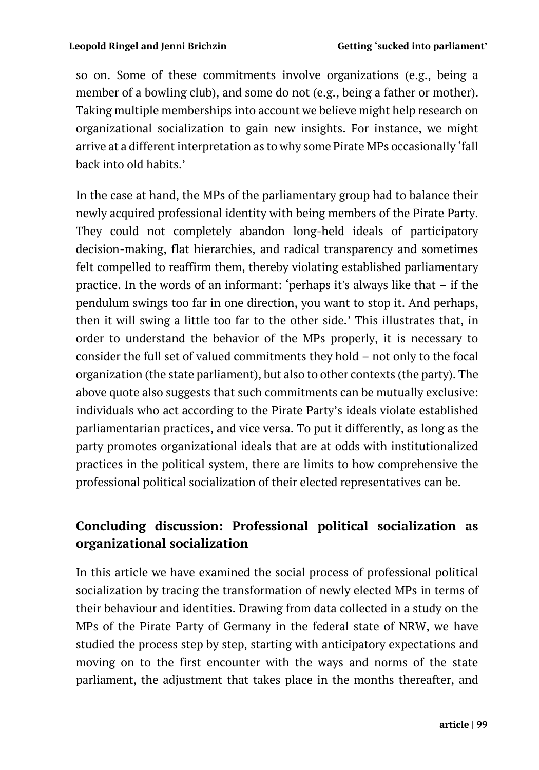so on. Some of these commitments involve organizations (e.g., being a member of a bowling club), and some do not (e.g., being a father or mother). Taking multiple memberships into account we believe might help research on organizational socialization to gain new insights. For instance, we might arrive at a different interpretation as to why some Pirate MPs occasionally 'fall back into old habits.'

In the case at hand, the MPs of the parliamentary group had to balance their newly acquired professional identity with being members of the Pirate Party. They could not completely abandon long-held ideals of participatory decision-making, flat hierarchies, and radical transparency and sometimes felt compelled to reaffirm them, thereby violating established parliamentary practice. In the words of an informant: 'perhaps it's always like that – if the pendulum swings too far in one direction, you want to stop it. And perhaps, then it will swing a little too far to the other side.' This illustrates that, in order to understand the behavior of the MPs properly, it is necessary to consider the full set of valued commitments they hold – not only to the focal organization (the state parliament), but also to other contexts (the party). The above quote also suggests that such commitments can be mutually exclusive: individuals who act according to the Pirate Party's ideals violate established parliamentarian practices, and vice versa. To put it differently, as long as the party promotes organizational ideals that are at odds with institutionalized practices in the political system, there are limits to how comprehensive the professional political socialization of their elected representatives can be.

## **Concluding discussion: Professional political socialization as organizational socialization**

In this article we have examined the social process of professional political socialization by tracing the transformation of newly elected MPs in terms of their behaviour and identities. Drawing from data collected in a study on the MPs of the Pirate Party of Germany in the federal state of NRW, we have studied the process step by step, starting with anticipatory expectations and moving on to the first encounter with the ways and norms of the state parliament, the adjustment that takes place in the months thereafter, and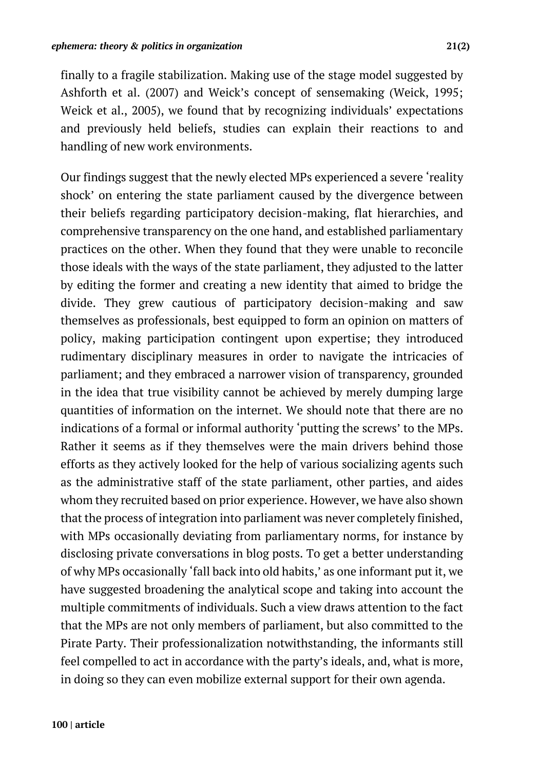finally to a fragile stabilization. Making use of the stage model suggested by Ashforth et al. (2007) and Weick's concept of sensemaking (Weick, 1995; Weick et al., 2005), we found that by recognizing individuals' expectations and previously held beliefs, studies can explain their reactions to and handling of new work environments.

Our findings suggest that the newly elected MPs experienced a severe 'reality shock' on entering the state parliament caused by the divergence between their beliefs regarding participatory decision-making, flat hierarchies, and comprehensive transparency on the one hand, and established parliamentary practices on the other. When they found that they were unable to reconcile those ideals with the ways of the state parliament, they adjusted to the latter by editing the former and creating a new identity that aimed to bridge the divide. They grew cautious of participatory decision-making and saw themselves as professionals, best equipped to form an opinion on matters of policy, making participation contingent upon expertise; they introduced rudimentary disciplinary measures in order to navigate the intricacies of parliament; and they embraced a narrower vision of transparency, grounded in the idea that true visibility cannot be achieved by merely dumping large quantities of information on the internet. We should note that there are no indications of a formal or informal authority 'putting the screws' to the MPs. Rather it seems as if they themselves were the main drivers behind those efforts as they actively looked for the help of various socializing agents such as the administrative staff of the state parliament, other parties, and aides whom they recruited based on prior experience. However, we have also shown that the process of integration into parliament was never completely finished, with MPs occasionally deviating from parliamentary norms, for instance by disclosing private conversations in blog posts. To get a better understanding of why MPs occasionally 'fall back into old habits,' as one informant put it, we have suggested broadening the analytical scope and taking into account the multiple commitments of individuals. Such a view draws attention to the fact that the MPs are not only members of parliament, but also committed to the Pirate Party. Their professionalization notwithstanding, the informants still feel compelled to act in accordance with the party's ideals, and, what is more, in doing so they can even mobilize external support for their own agenda.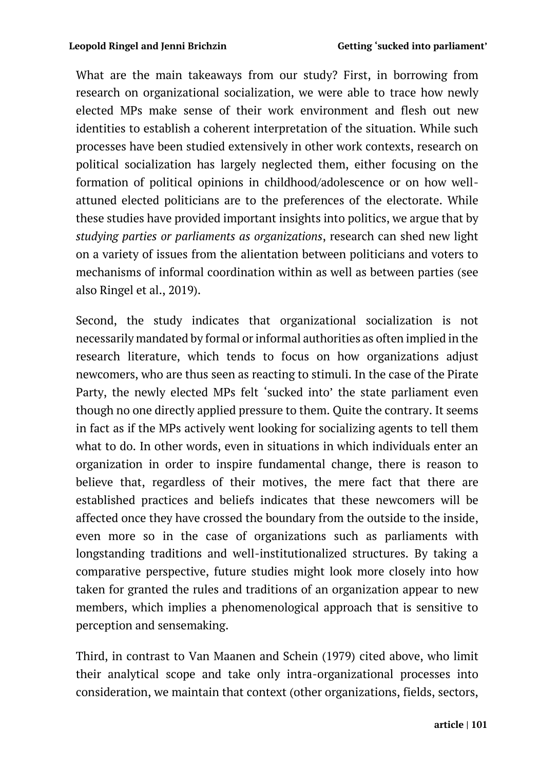What are the main takeaways from our study? First, in borrowing from research on organizational socialization, we were able to trace how newly elected MPs make sense of their work environment and flesh out new identities to establish a coherent interpretation of the situation. While such processes have been studied extensively in other work contexts, research on political socialization has largely neglected them, either focusing on the formation of political opinions in childhood/adolescence or on how wellattuned elected politicians are to the preferences of the electorate. While these studies have provided important insights into politics, we argue that by *studying parties or parliaments as organizations*, research can shed new light on a variety of issues from the alientation between politicians and voters to mechanisms of informal coordination within as well as between parties (see also Ringel et al., 2019).

Second, the study indicates that organizational socialization is not necessarily mandated by formal or informal authorities as often implied in the research literature, which tends to focus on how organizations adjust newcomers, who are thus seen as reacting to stimuli. In the case of the Pirate Party, the newly elected MPs felt 'sucked into' the state parliament even though no one directly applied pressure to them. Quite the contrary. It seems in fact as if the MPs actively went looking for socializing agents to tell them what to do. In other words, even in situations in which individuals enter an organization in order to inspire fundamental change, there is reason to believe that, regardless of their motives, the mere fact that there are established practices and beliefs indicates that these newcomers will be affected once they have crossed the boundary from the outside to the inside, even more so in the case of organizations such as parliaments with longstanding traditions and well-institutionalized structures. By taking a comparative perspective, future studies might look more closely into how taken for granted the rules and traditions of an organization appear to new members, which implies a phenomenological approach that is sensitive to perception and sensemaking.

Third, in contrast to Van Maanen and Schein (1979) cited above, who limit their analytical scope and take only intra-organizational processes into consideration, we maintain that context (other organizations, fields, sectors,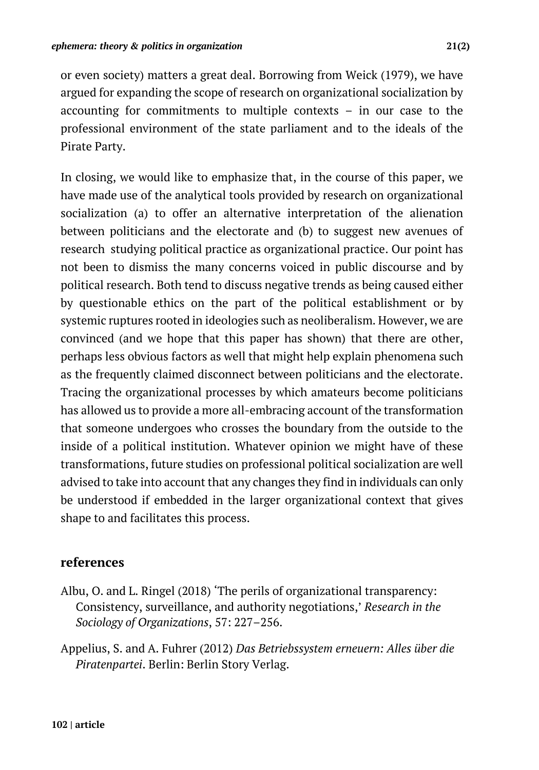or even society) matters a great deal. Borrowing from Weick (1979), we have argued for expanding the scope of research on organizational socialization by accounting for commitments to multiple contexts – in our case to the professional environment of the state parliament and to the ideals of the Pirate Party.

In closing, we would like to emphasize that, in the course of this paper, we have made use of the analytical tools provided by research on organizational socialization (a) to offer an alternative interpretation of the alienation between politicians and the electorate and (b) to suggest new avenues of research studying political practice as organizational practice. Our point has not been to dismiss the many concerns voiced in public discourse and by political research. Both tend to discuss negative trends as being caused either by questionable ethics on the part of the political establishment or by systemic ruptures rooted in ideologies such as neoliberalism. However, we are convinced (and we hope that this paper has shown) that there are other, perhaps less obvious factors as well that might help explain phenomena such as the frequently claimed disconnect between politicians and the electorate. Tracing the organizational processes by which amateurs become politicians has allowed us to provide a more all-embracing account of the transformation that someone undergoes who crosses the boundary from the outside to the inside of a political institution. Whatever opinion we might have of these transformations, future studies on professional political socialization are well advised to take into account that any changes they find in individuals can only be understood if embedded in the larger organizational context that gives shape to and facilitates this process.

## **references**

- Albu, O. and L. Ringel (2018) 'The perils of organizational transparency: Consistency, surveillance, and authority negotiations,' *Research in the Sociology of Organizations*, 57: 227–256.
- Appelius, S. and A. Fuhrer (2012) *Das Betriebssystem erneuern: Alles über die Piratenpartei*. Berlin: Berlin Story Verlag.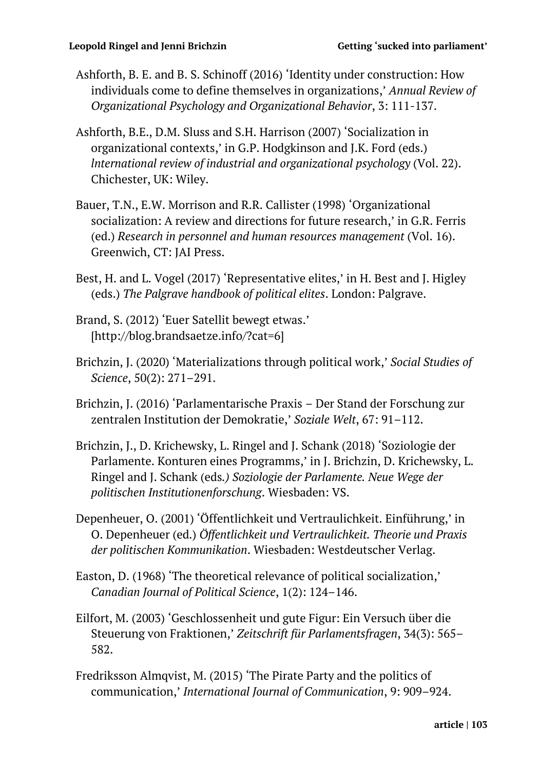- Ashforth, B. E. and B. S. Schinoff (2016) 'Identity under construction: How individuals come to define themselves in organizations,' *Annual Review of Organizational Psychology and Organizational Behavior*, 3: 111-137.
- Ashforth, B.E., D.M. Sluss and S.H. Harrison (2007) 'Socialization in organizational contexts,' in G.P. Hodgkinson and J.K. Ford (eds.) *lnternational review of industrial and organizational psychology* (Vol. 22). Chichester, UK: Wiley.
- Bauer, T.N., E.W. Morrison and R.R. Callister (1998) 'Organizational socialization: A review and directions for future research,' in G.R. Ferris (ed.) *Research in personnel and human resources management* (Vol. 16). Greenwich, CT: JAI Press.
- Best, H. and L. Vogel (2017) 'Representative elites,' in H. Best and J. Higley (eds.) *The Palgrave handbook of political elites*. London: Palgrave.
- Brand, S. (2012) 'Euer Satellit bewegt etwas.' [http://blog.brandsaetze.info/?cat=6]
- Brichzin, J. (2020) 'Materializations through political work,' *Social Studies of Science*, 50(2): 271–291.
- Brichzin, J. (2016) 'Parlamentarische Praxis Der Stand der Forschung zur zentralen Institution der Demokratie,' *Soziale Welt*, 67: 91–112.
- Brichzin, J., D. Krichewsky, L. Ringel and J. Schank (2018) 'Soziologie der Parlamente. Konturen eines Programms,' in J. Brichzin, D. Krichewsky, L. Ringel and J. Schank (eds*.) Soziologie der Parlamente. Neue Wege der politischen Institutionenforschung*. Wiesbaden: VS.
- Depenheuer, O. (2001) 'Öffentlichkeit und Vertraulichkeit. Einführung,' in O. Depenheuer (ed.) *Öffentlichkeit und Vertraulichkeit. Theorie und Praxis der politischen Kommunikation*. Wiesbaden: Westdeutscher Verlag.
- Easton, D. (1968) 'The theoretical relevance of political socialization,' *Canadian Journal of Political Science*, 1(2): 124–146.
- Eilfort, M. (2003) 'Geschlossenheit und gute Figur: Ein Versuch über die Steuerung von Fraktionen,' *Zeitschrift für Parlamentsfragen*, 34(3): 565– 582.
- Fredriksson Almqvist, M. (2015) 'The Pirate Party and the politics of communication,' *International Journal of Communication*, 9: 909–924.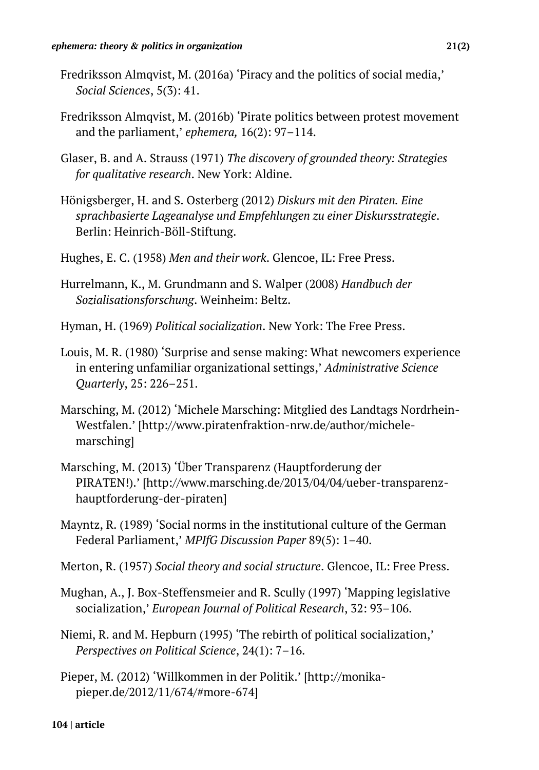- Fredriksson Almqvist, M. (2016a) 'Piracy and the politics of social media,' *Social Sciences*, 5(3): 41.
- Fredriksson Almqvist, M. (2016b) 'Pirate politics between protest movement and the parliament,' *ephemera,* 16(2): 97–114.
- Glaser, B. and A. Strauss (1971) *The discovery of grounded theory: Strategies for qualitative research*. New York: Aldine.
- Hönigsberger, H. and S. Osterberg (2012) *Diskurs mit den Piraten. Eine sprachbasierte Lageanalyse und Empfehlungen zu einer Diskursstrategie*. Berlin: Heinrich-Böll-Stiftung.
- Hughes, E. C. (1958) *Men and their work*. Glencoe, IL: Free Press.
- Hurrelmann, K., M. Grundmann and S. Walper (2008) *Handbuch der Sozialisationsforschung*. Weinheim: Beltz.
- Hyman, H. (1969) *Political socialization*. New York: The Free Press.
- Louis, M. R. (1980) 'Surprise and sense making: What newcomers experience in entering unfamiliar organizational settings,' *Administrative Science Quarterly*, 25: 226–251.
- Marsching, M. (2012) 'Michele Marsching: Mitglied des Landtags Nordrhein-Westfalen.' [http://www.piratenfraktion-nrw.de/author/michelemarsching]
- Marsching, M. (2013) 'Über Transparenz (Hauptforderung der PIRATEN!).' [http://www.marsching.de/2013/04/04/ueber-transparenzhauptforderung-der-piraten]
- Mayntz, R. (1989) 'Social norms in the institutional culture of the German Federal Parliament,' *MPIfG Discussion Paper* 89(5): 1–40.
- Merton, R. (1957) *Social theory and social structure*. Glencoe, IL: Free Press.
- Mughan, A., J. Box-Steffensmeier and R. Scully (1997) 'Mapping legislative socialization,' *European Journal of Political Research*, 32: 93–106.
- Niemi, R. and M. Hepburn (1995) 'The rebirth of political socialization,' *Perspectives on Political Science*, 24(1): 7–16.
- Pieper, M. (2012) 'Willkommen in der Politik.' [http://monikapieper.de/2012/11/674/#more-674]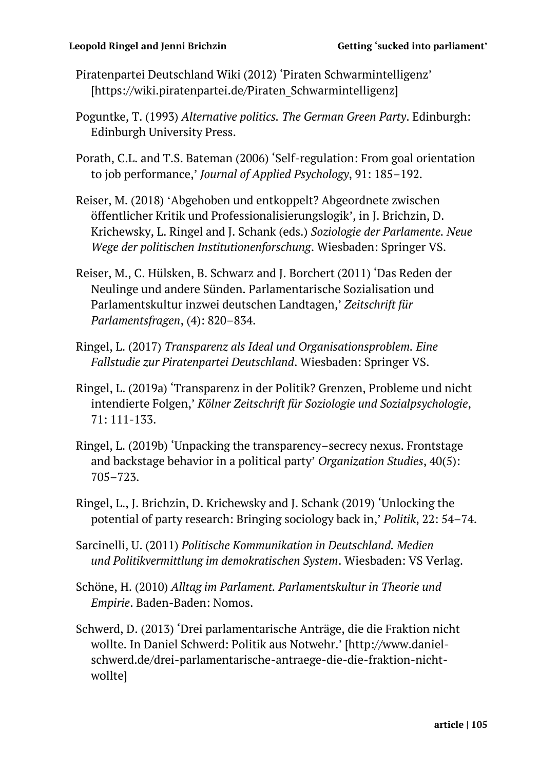#### **Leopold Ringel and Jenni Brichzin Getting 'sucked into parliament'**

- Piratenpartei Deutschland Wiki (2012) 'Piraten Schwarmintelligenz' [https://wiki.piratenpartei.de/Piraten Schwarmintelligenz]
- Poguntke, T. (1993) *Alternative politics. The German Green Party*. Edinburgh: Edinburgh University Press.
- Porath, C.L. and T.S. Bateman (2006) 'Self-regulation: From goal orientation to job performance,' *Journal of Applied Psychology*, 91: 185–192.
- Reiser, M. (2018) ʻAbgehoben und entkoppelt? Abgeordnete zwischen öffentlicher Kritik und Professionalisierungslogik', in J. Brichzin, D. Krichewsky, L. Ringel and J. Schank (eds.) *Soziologie der Parlamente. Neue Wege der politischen Institutionenforschung*. Wiesbaden: Springer VS.
- Reiser, M., C. Hülsken, B. Schwarz and J. Borchert (2011) 'Das Reden der Neulinge und andere Sünden. Parlamentarische Sozialisation und Parlamentskultur inzwei deutschen Landtagen,' *Zeitschrift für Parlamentsfragen*, (4): 820–834.
- Ringel, L. (2017) *Transparenz als Ideal und Organisationsproblem. Eine Fallstudie zur Piratenpartei Deutschland*. Wiesbaden: Springer VS.
- Ringel, L. (2019a) 'Transparenz in der Politik? Grenzen, Probleme und nicht intendierte Folgen,' *Kölner Zeitschrift für Soziologie und Sozialpsychologie*, 71: 111-133.
- Ringel, L. (2019b) 'Unpacking the transparency–secrecy nexus. Frontstage and backstage behavior in a political party' *Organization Studies*, 40(5): 705–723.
- Ringel, L., J. Brichzin, D. Krichewsky and J. Schank (2019) 'Unlocking the potential of party research: Bringing sociology back in,' *Politik*, 22: 54–74.
- Sarcinelli, U. (2011) *Politische Kommunikation in Deutschland. Medien und Politikvermittlung im demokratischen System*. Wiesbaden: VS Verlag.
- Schöne, H. (2010) *Alltag im Parlament. Parlamentskultur in Theorie und Empirie*. Baden-Baden: Nomos.
- Schwerd, D. (2013) 'Drei parlamentarische Anträge, die die Fraktion nicht wollte. In Daniel Schwerd: Politik aus Notwehr.' [http://www.danielschwerd.de/drei-parlamentarische-antraege-die-die-fraktion-nichtwollte]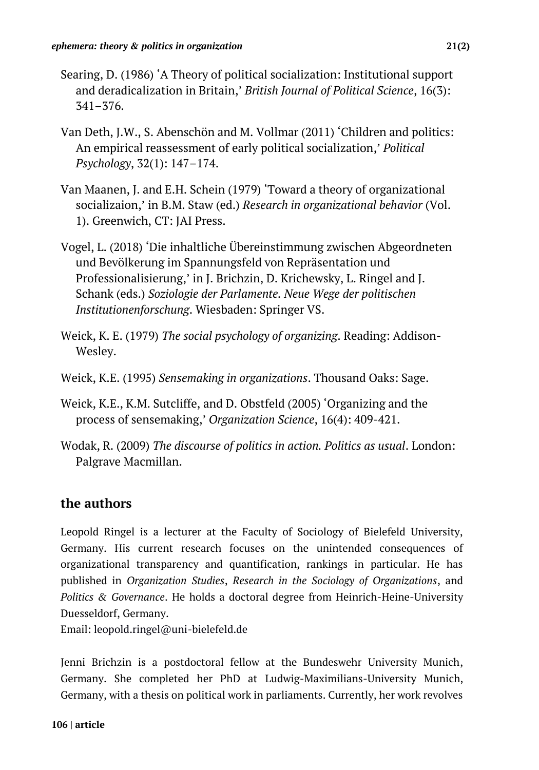- Searing, D. (1986) 'A Theory of political socialization: Institutional support and deradicalization in Britain,' *British Journal of Political Science*, 16(3): 341–376.
- Van Deth, J.W., S. Abenschön and M. Vollmar (2011) 'Children and politics: An empirical reassessment of early political socialization,' *Political Psychology*, 32(1): 147–174.
- Van Maanen, J. and E.H. Schein (1979) 'Toward a theory of organizational socializaion,' in B.M. Staw (ed.) *Research in organizational behavior* (Vol. 1). Greenwich, CT: JAI Press.
- Vogel, L. (2018) 'Die inhaltliche Übereinstimmung zwischen Abgeordneten und Bevölkerung im Spannungsfeld von Repräsentation und Professionalisierung,' in J. Brichzin, D. Krichewsky, L. Ringel and J. Schank (eds.) *Soziologie der Parlamente. Neue Wege der politischen Institutionenforschung*. Wiesbaden: Springer VS.
- Weick, K. E. (1979) *The social psychology of organizing*. Reading: Addison-Wesley.
- Weick, K.E. (1995) *Sensemaking in organizations*. Thousand Oaks: Sage.
- Weick, K.E., K.M. Sutcliffe, and D. Obstfeld (2005) 'Organizing and the process of sensemaking,' *Organization Science*, 16(4): 409-421.
- Wodak, R. (2009) *The discourse of politics in action. Politics as usual*. London: Palgrave Macmillan.

### **the authors**

Leopold Ringel is a lecturer at the Faculty of Sociology of Bielefeld University, Germany. His current research focuses on the unintended consequences of organizational transparency and quantification, rankings in particular. He has published in *Organization Studies*, *Research in the Sociology of Organizations*, and *Politics & Governance*. He holds a doctoral degree from Heinrich-Heine-University Duesseldorf, Germany.

Email: leopold.ringel@uni-bielefeld.de

Jenni Brichzin is a postdoctoral fellow at the Bundeswehr University Munich, Germany. She completed her PhD at Ludwig-Maximilians-University Munich, Germany, with a thesis on political work in parliaments. Currently, her work revolves